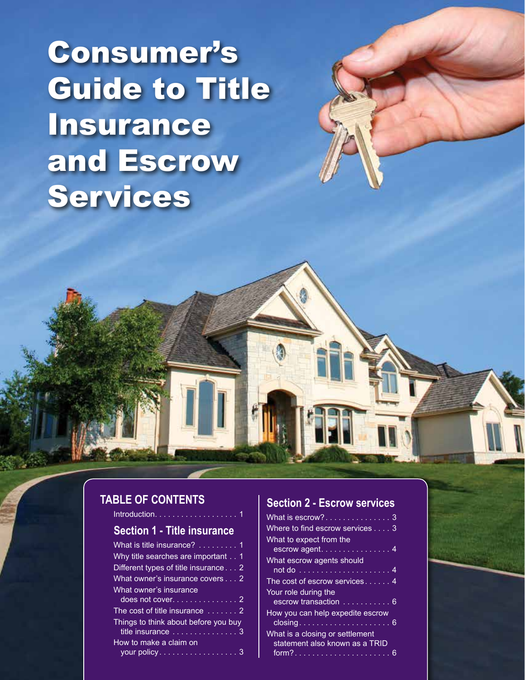Consumer's Guide to Title Insurance and Escrow Services

# **Table of contents**

Introduction  $\ldots$ .

#### **Section 1 - Title insurance**

#### **Section 2 - Escrow services**

| What is $\overline{\text{e}}$ scrow? $\ldots \ldots \ldots \ldots \overline{\ldots}$ |  |
|--------------------------------------------------------------------------------------|--|
| Where to find escrow services 3                                                      |  |
| What to expect from the                                                              |  |
| escrow agent 4                                                                       |  |
| What escrow agents should                                                            |  |
| not do ..............................4                                               |  |
| The cost of escrow services 4                                                        |  |
| Your role during the                                                                 |  |
| escrow transaction  6                                                                |  |
| How you can help expedite escrow                                                     |  |
|                                                                                      |  |
| What is a closing or settlement                                                      |  |
| statement also known as a TRID                                                       |  |
|                                                                                      |  |
|                                                                                      |  |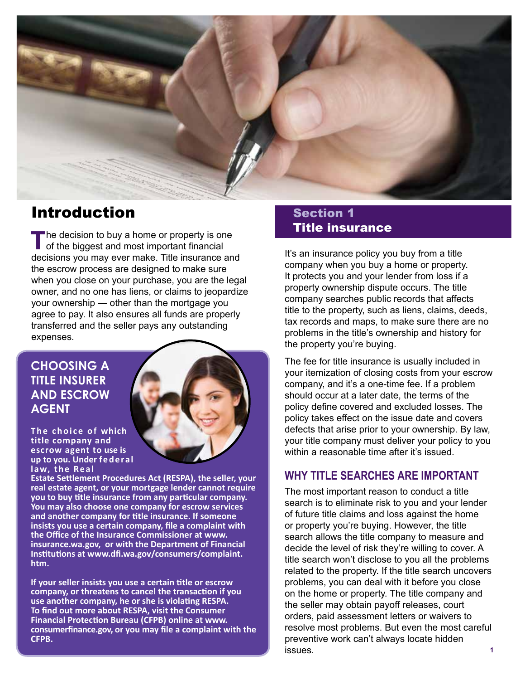

# Introduction

The decision to buy a home or property is one<br>
of the biggest and most important financial<br>
of the biggest and most important financial decisions you may ever make. Title insurance and the escrow process are designed to make sure when you close on your purchase, you are the legal owner, and no one has liens, or claims to jeopardize your ownership — other than the mortgage you agree to pay. It also ensures all funds are properly transferred and the seller pays any outstanding expenses.

# **Choosing a title insurer and escrow agent**

**The choice of which title company and escrow agent to use is up to you. Under fe der al law, the Real**



**Estate Settlement Procedures Act (RESPA), the seller, your real estate agent, or your mortgage lender cannot require you to buy title insurance from any particular company. You may also choose one company for escrow services and another company for title insurance. If someone insists you use a certain company, file a complaint with the Office of the Insurance Commissioner at www. insurance.wa.gov, or with the Department of Financial Institutions at www.dfi.wa.gov/consumers/complaint. htm.**

**If your seller insists you use a certain title or escrow company, or threatens to cancel the transaction if you use another company, he or she is violating RESPA. To find out more about RESPA, visit the Consumer Financial Protection Bureau (CFPB) online at www. consumerfinance.gov, or you may file a complaint with the CFPB.**

## **Section 1 Section 1** Title insurance

It's an insurance policy you buy from a title company when you buy a home or property. It protects you and your lender from loss if a property ownership dispute occurs. The title company searches public records that affects title to the property, such as liens, claims, deeds, tax records and maps, to make sure there are no problems in the title's ownership and history for the property you're buying.

The fee for title insurance is usually included in your itemization of closing costs from your escrow company, and it's a one-time fee. If a problem should occur at a later date, the terms of the policy define covered and excluded losses. The policy takes effect on the issue date and covers defects that arise prior to your ownership. By law, your title company must deliver your policy to you within a reasonable time after it's issued.

#### **Why title searches are important**

The most important reason to conduct a title search is to eliminate risk to you and your lender of future title claims and loss against the home or property you're buying. However, the title search allows the title company to measure and decide the level of risk they're willing to cover. A title search won't disclose to you all the problems related to the property. If the title search uncovers problems, you can deal with it before you close on the home or property. The title company and the seller may obtain payoff releases, court orders, paid assessment letters or waivers to resolve most problems. But even the most careful preventive work can't always locate hidden issues. **1**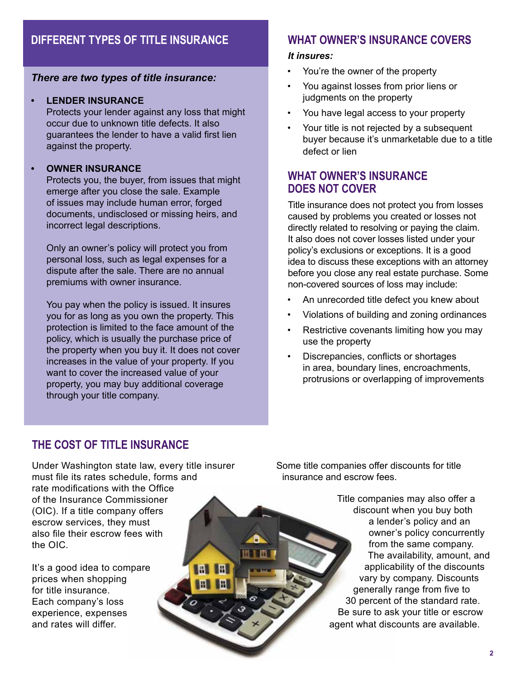# **Different types of title insurance**

#### *There are two types of title insurance:*

#### **LENDER INSURANCE**

Protects your lender against any loss that might occur due to unknown title defects. It also guarantees the lender to have a valid first lien against the property.

#### **• Owner insurance**

Protects you, the buyer, from issues that might emerge after you close the sale. Example of issues may include human error, forged documents, undisclosed or missing heirs, and incorrect legal descriptions.

Only an owner's policy will protect you from personal loss, such as legal expenses for a dispute after the sale. There are no annual premiums with owner insurance.

You pay when the policy is issued. It insures you for as long as you own the property. This protection is limited to the face amount of the policy, which is usually the purchase price of the property when you buy it. It does not cover increases in the value of your property. If you want to cover the increased value of your property, you may buy additional coverage through your title company.

#### **What owner's insurance covers**

#### *It insures:*

- You're the owner of the property
- You against losses from prior liens or judgments on the property
- You have legal access to your property
- Your title is not rejected by a subsequent buyer because it's unmarketable due to a title defect or lien

#### **What owner's insurance does not cover**

Title insurance does not protect you from losses caused by problems you created or losses not directly related to resolving or paying the claim. It also does not cover losses listed under your policy's exclusions or exceptions. It is a good idea to discuss these exceptions with an attorney before you close any real estate purchase. Some non-covered sources of loss may include:

- An unrecorded title defect you knew about
- Violations of building and zoning ordinances
- Restrictive covenants limiting how you may use the property
- Discrepancies, conflicts or shortages in area, boundary lines, encroachments, protrusions or overlapping of improvements

#### **The cost of title insurance**

Under Washington state law, every title insurer must file its rates schedule, forms and rate modifications with the Office of the Insurance Commissioner (OIC). If a title company offers escrow services, they must also file their escrow fees with the OIC.

It's a good idea to compare prices when shopping for title insurance. Each company's loss experience, expenses and rates will differ.

Some title companies offer discounts for title insurance and escrow fees.

> Title companies may also offer a discount when you buy both a lender's policy and an owner's policy concurrently from the same company. The availability, amount, and applicability of the discounts vary by company. Discounts generally range from five to 30 percent of the standard rate. Be sure to ask your title or escrow agent what discounts are available.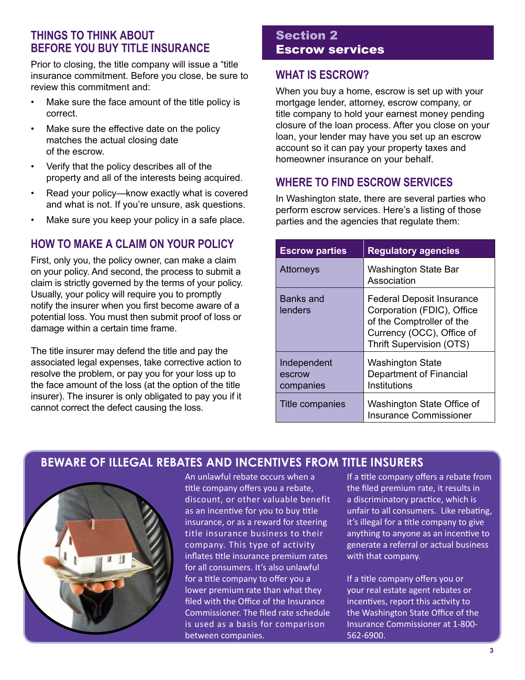#### **Things to think about before you buy title insurance**

Prior to closing, the title company will issue a "title insurance commitment. Before you close, be sure to review this commitment and:

- Make sure the face amount of the title policy is correct.
- Make sure the effective date on the policy matches the actual closing date of the escrow.
- Verify that the policy describes all of the property and all of the interests being acquired.
- Read your policy-know exactly what is covered and what is not. If you're unsure, ask questions.
- Make sure you keep your policy in a safe place.

#### **How to make a claim on your policy**

First, only you, the policy owner, can make a claim on your policy. And second, the process to submit a claim is strictly governed by the terms of your policy. Usually, your policy will require you to promptly notify the insurer when you first become aware of a potential loss. You must then submit proof of loss or damage within a certain time frame.

The title insurer may defend the title and pay the associated legal expenses, take corrective action to resolve the problem, or pay you for your loss up to the face amount of the loss (at the option of the title insurer). The insurer is only obligated to pay you if it cannot correct the defect causing the loss.

#### Section 2 Escrow services

#### **What is escrow?**

When you buy a home, escrow is set up with your mortgage lender, attorney, escrow company, or title company to hold your earnest money pending closure of the loan process. After you close on your loan, your lender may have you set up an escrow account so it can pay your property taxes and homeowner insurance on your behalf.

#### **Where to find escrow services**

In Washington state, there are several parties who perform escrow services. Here's a listing of those parties and the agencies that regulate them:

| <b>Escrow parties</b>              | <b>Regulatory agencies</b>                                                                                                                                  |
|------------------------------------|-------------------------------------------------------------------------------------------------------------------------------------------------------------|
| <b>Attorneys</b>                   | Washington State Bar<br>Association                                                                                                                         |
| Banks and<br>lenders               | <b>Federal Deposit Insurance</b><br>Corporation (FDIC), Office<br>of the Comptroller of the<br>Currency (OCC), Office of<br><b>Thrift Supervision (OTS)</b> |
| Independent<br>escrow<br>companies | <b>Washington State</b><br>Department of Financial<br>Institutions                                                                                          |
| Title companies                    | Washington State Office of<br><b>Insurance Commissioner</b>                                                                                                 |

#### **Beware of illegal rebates and incentives from title insurers**



An unlawful rebate occurs when a title company offers you a rebate, discount, or other valuable benefit as an incentive for you to buy title insurance, or as a reward for steering title insurance business to their company. This type of activity inflates title insurance premium rates for all consumers. It's also unlawful for a title company to offer you a lower premium rate than what they filed with the Office of the Insurance Commissioner. The filed rate schedule is used as a basis for comparison between companies.

If a title company offers a rebate from the filed premium rate, it results in a discriminatory practice, which is unfair to all consumers. Like rebating, it's illegal for a title company to give anything to anyone as an incentive to generate a referral or actual business with that company.

If a title company offers you or your real estate agent rebates or incentives, report this activity to the Washington State Office of the Insurance Commissioner at 1-800- 562-6900.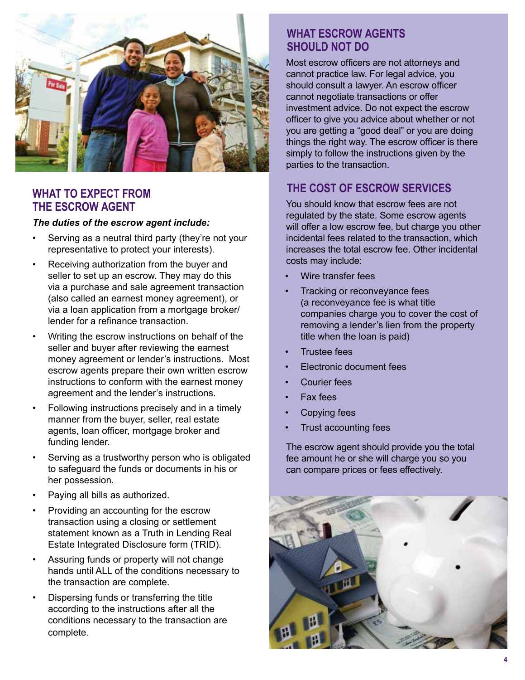

#### **What to expect from the escrow agent**

#### *The duties of the escrow agent include:*

- Serving as a neutral third party (they're not your representative to protect your interests).
- Receiving authorization from the buyer and seller to set up an escrow. They may do this via a purchase and sale agreement transaction (also called an earnest money agreement), or via a loan application from a mortgage broker/ lender for a refinance transaction.
- Writing the escrow instructions on behalf of the seller and buyer after reviewing the earnest money agreement or lender's instructions.  Most escrow agents prepare their own written escrow instructions to conform with the earnest money agreement and the lender's instructions.
- Following instructions precisely and in a timely manner from the buyer, seller, real estate agents, loan officer, mortgage broker and funding lender.
- Serving as a trustworthy person who is obligated to safeguard the funds or documents in his or her possession.
- Paying all bills as authorized.
- Providing an accounting for the escrow transaction using a closing or settlement statement known as a Truth in Lending Real Estate Integrated Disclosure form (TRID).
- Assuring funds or property will not change hands until ALL of the conditions necessary to the transaction are complete.
- Dispersing funds or transferring the title according to the instructions after all the conditions necessary to the transaction are complete.

#### **What escrow agents should not do**

Most escrow officers are not attorneys and cannot practice law. For legal advice, you should consult a lawyer. An escrow officer cannot negotiate transactions or offer investment advice. Do not expect the escrow officer to give you advice about whether or not you are getting a "good deal" or you are doing things the right way. The escrow officer is there simply to follow the instructions given by the parties to the transaction.

# **The cost of escrow services**

You should know that escrow fees are not regulated by the state. Some escrow agents will offer a low escrow fee, but charge you other incidental fees related to the transaction, which increases the total escrow fee. Other incidental costs may include:

- Wire transfer fees
- Tracking or reconveyance fees (a reconveyance fee is what title companies charge you to cover the cost of removing a lender's lien from the property title when the loan is paid)
- Trustee fees
- Electronic document fees
- Courier fees
- Fax fees
- Copying fees
- Trust accounting fees

The escrow agent should provide you the total fee amount he or she will charge you so you can compare prices or fees effectively.